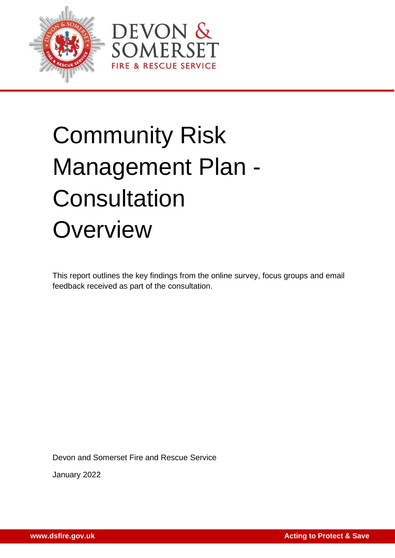



# Community Risk Management Plan - **Consultation Overview**

This report outlines the key findings from the online survey, focus groups and email feedback received as part of the consultation.

Devon and Somerset Fire and Rescue Service

January 2022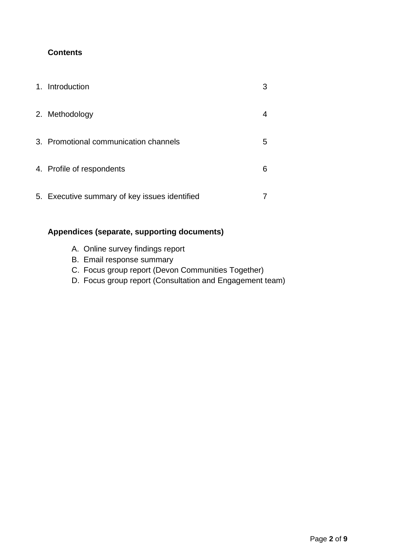### **Contents**

| $1_{-}$ | Introduction                                  |   |
|---------|-----------------------------------------------|---|
|         | 2. Methodology                                |   |
|         | 3. Promotional communication channels         | 5 |
|         | 4. Profile of respondents                     | 6 |
|         | 5. Executive summary of key issues identified |   |

### **Appendices (separate, supporting documents)**

- A. Online survey findings report
- B. Email response summary
- C. Focus group report (Devon Communities Together)
- D. Focus group report (Consultation and Engagement team)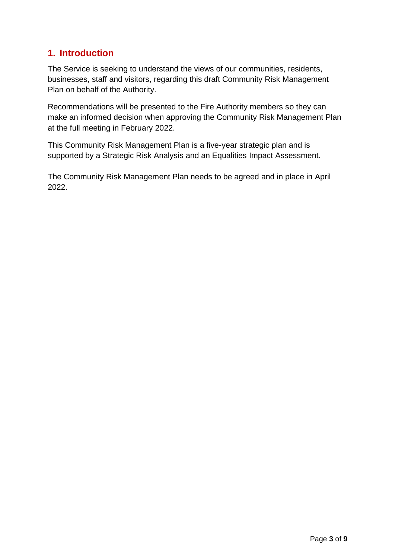## **1. Introduction**

The Service is seeking to understand the views of our communities, residents, businesses, staff and visitors, regarding this draft Community Risk Management Plan on behalf of the Authority.

Recommendations will be presented to the Fire Authority members so they can make an informed decision when approving the Community Risk Management Plan at the full meeting in February 2022.

This Community Risk Management Plan is a five-year strategic plan and is supported by a Strategic Risk Analysis and an Equalities Impact Assessment.

The Community Risk Management Plan needs to be agreed and in place in April 2022.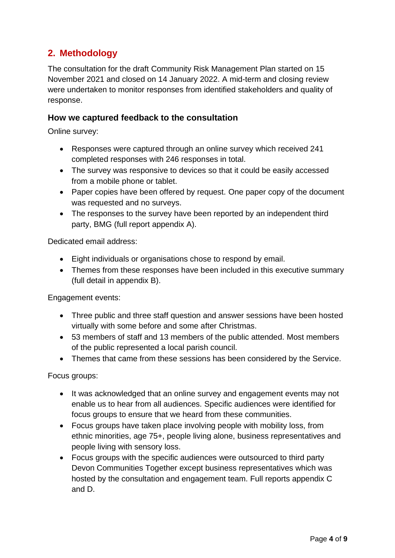# **2. Methodology**

The consultation for the draft Community Risk Management Plan started on 15 November 2021 and closed on 14 January 2022. A mid-term and closing review were undertaken to monitor responses from identified stakeholders and quality of response.

#### **How we captured feedback to the consultation**

Online survey:

- Responses were captured through an online survey which received 241 completed responses with 246 responses in total.
- The survey was responsive to devices so that it could be easily accessed from a mobile phone or tablet.
- Paper copies have been offered by request. One paper copy of the document was requested and no surveys.
- The responses to the survey have been reported by an independent third party, BMG (full report appendix A).

Dedicated email address:

- Eight individuals or organisations chose to respond by email.
- Themes from these responses have been included in this executive summary (full detail in appendix B).

Engagement events:

- Three public and three staff question and answer sessions have been hosted virtually with some before and some after Christmas.
- 53 members of staff and 13 members of the public attended. Most members of the public represented a local parish council.
- Themes that came from these sessions has been considered by the Service.

Focus groups:

- It was acknowledged that an online survey and engagement events may not enable us to hear from all audiences. Specific audiences were identified for focus groups to ensure that we heard from these communities.
- Focus groups have taken place involving people with mobility loss, from ethnic minorities, age 75+, people living alone, business representatives and people living with sensory loss.
- Focus groups with the specific audiences were outsourced to third party Devon Communities Together except business representatives which was hosted by the consultation and engagement team. Full reports appendix C and D.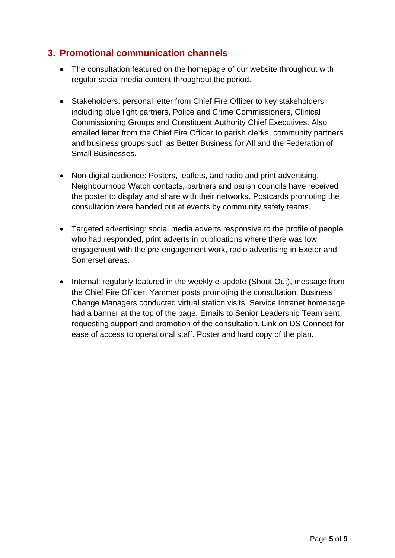## **3. Promotional communication channels**

- The consultation featured on the homepage of our website throughout with regular social media content throughout the period.
- Stakeholders: personal letter from Chief Fire Officer to key stakeholders, including blue light partners, Police and Crime Commissioners, Clinical Commissioning Groups and Constituent Authority Chief Executives. Also emailed letter from the Chief Fire Officer to parish clerks, community partners and business groups such as Better Business for All and the Federation of Small Businesses.
- Non-digital audience: Posters, leaflets, and radio and print advertising. Neighbourhood Watch contacts, partners and parish councils have received the poster to display and share with their networks. Postcards promoting the consultation were handed out at events by community safety teams.
- Targeted advertising: social media adverts responsive to the profile of people who had responded, print adverts in publications where there was low engagement with the pre-engagement work, radio advertising in Exeter and Somerset areas.
- Internal: regularly featured in the weekly e-update (Shout Out), message from the Chief Fire Officer, Yammer posts promoting the consultation, Business Change Managers conducted virtual station visits. Service Intranet homepage had a banner at the top of the page. Emails to Senior Leadership Team sent requesting support and promotion of the consultation. Link on DS Connect for ease of access to operational staff. Poster and hard copy of the plan.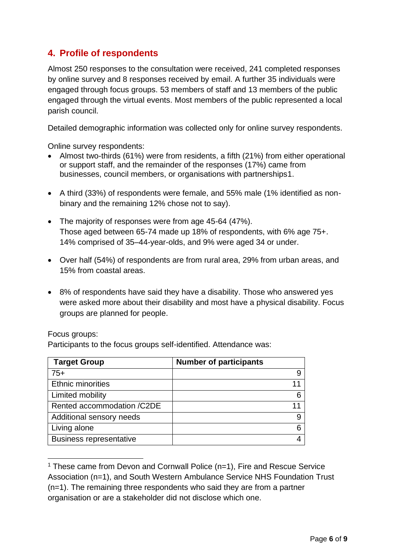# **4. Profile of respondents**

Almost 250 responses to the consultation were received, 241 completed responses by online survey and 8 responses received by email. A further 35 individuals were engaged through focus groups. 53 members of staff and 13 members of the public engaged through the virtual events. Most members of the public represented a local parish council.

Detailed demographic information was collected only for online survey respondents.

Online survey respondents:

- Almost two-thirds (61%) were from residents, a fifth (21%) from either operational or support staff, and the remainder of the responses (17%) came from businesses, council members, or organisations with partnerships1.
- A third (33%) of respondents were female, and 55% male (1% identified as nonbinary and the remaining 12% chose not to say).
- The majority of responses were from age 45-64 (47%). Those aged between 65-74 made up 18% of respondents, with 6% age 75+. 14% comprised of 35–44-year-olds, and 9% were aged 34 or under.
- Over half (54%) of respondents are from rural area, 29% from urban areas, and 15% from coastal areas.
- 8% of respondents have said they have a disability. Those who answered yes were asked more about their disability and most have a physical disability. Focus groups are planned for people.

#### Focus groups:

Participants to the focus groups self-identified. Attendance was:

| <b>Target Group</b>            | <b>Number of participants</b> |
|--------------------------------|-------------------------------|
| $75+$                          |                               |
| <b>Ethnic minorities</b>       |                               |
| Limited mobility               |                               |
| Rented accommodation /C2DE     |                               |
| Additional sensory needs       |                               |
| Living alone                   |                               |
| <b>Business representative</b> |                               |

<sup>&</sup>lt;sup>1</sup> These came from Devon and Cornwall Police ( $n=1$ ), Fire and Rescue Service Association (n=1), and South Western Ambulance Service NHS Foundation Trust (n=1). The remaining three respondents who said they are from a partner organisation or are a stakeholder did not disclose which one.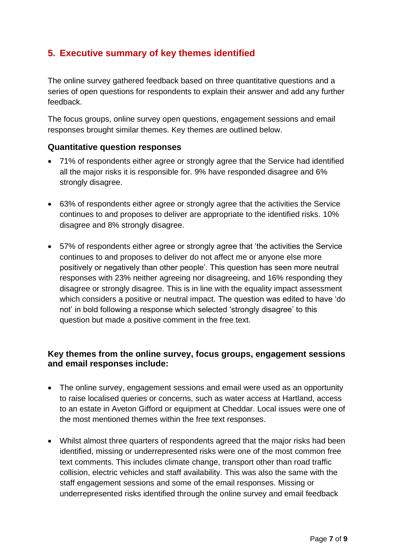## **5. Executive summary of key themes identified**

The online survey gathered feedback based on three quantitative questions and a series of open questions for respondents to explain their answer and add any further feedback.

The focus groups, online survey open questions, engagement sessions and email responses brought similar themes. Key themes are outlined below.

#### **Quantitative question responses**

- 71% of respondents either agree or strongly agree that the Service had identified all the major risks it is responsible for. 9% have responded disagree and 6% strongly disagree.
- 63% of respondents either agree or strongly agree that the activities the Service continues to and proposes to deliver are appropriate to the identified risks. 10% disagree and 8% strongly disagree.
- 57% of respondents either agree or strongly agree that 'the activities the Service continues to and proposes to deliver do not affect me or anyone else more positively or negatively than other people'. This question has seen more neutral responses with 23% neither agreeing nor disagreeing, and 16% responding they disagree or strongly disagree. This is in line with the equality impact assessment which considers a positive or neutral impact. The question was edited to have 'do not' in bold following a response which selected 'strongly disagree' to this question but made a positive comment in the free text.

#### **Key themes from the online survey, focus groups, engagement sessions and email responses include:**

- The online survey, engagement sessions and email were used as an opportunity to raise localised queries or concerns, such as water access at Hartland, access to an estate in Aveton Gifford or equipment at Cheddar. Local issues were one of the most mentioned themes within the free text responses.
- Whilst almost three quarters of respondents agreed that the major risks had been identified, missing or underrepresented risks were one of the most common free text comments. This includes climate change, transport other than road traffic collision, electric vehicles and staff availability. This was also the same with the staff engagement sessions and some of the email responses. Missing or underrepresented risks identified through the online survey and email feedback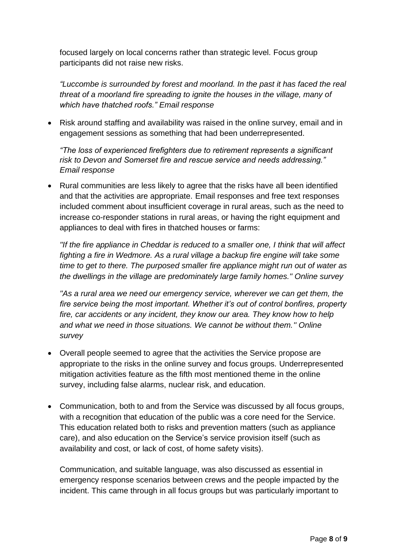focused largely on local concerns rather than strategic level. Focus group participants did not raise new risks.

*"Luccombe is surrounded by forest and moorland. In the past it has faced the real threat of a moorland fire spreading to ignite the houses in the village, many of which have thatched roofs." Email response*

• Risk around staffing and availability was raised in the online survey, email and in engagement sessions as something that had been underrepresented.

*"The loss of experienced firefighters due to retirement represents a significant risk to Devon and Somerset fire and rescue service and needs addressing." Email response*

• Rural communities are less likely to agree that the risks have all been identified and that the activities are appropriate. Email responses and free text responses included comment about insufficient coverage in rural areas, such as the need to increase co-responder stations in rural areas, or having the right equipment and appliances to deal with fires in thatched houses or farms:

*''If the fire appliance in Cheddar is reduced to a smaller one, I think that will affect fighting a fire in Wedmore. As a rural village a backup fire engine will take some time to get to there. The purposed smaller fire appliance might run out of water as the dwellings in the village are predominately large family homes.'' Online survey*

*''As a rural area we need our emergency service, wherever we can get them, the fire service being the most important. Whether it's out of control bonfires, property fire, car accidents or any incident, they know our area. They know how to help and what we need in those situations. We cannot be without them.'' Online survey* 

- Overall people seemed to agree that the activities the Service propose are appropriate to the risks in the online survey and focus groups. Underrepresented mitigation activities feature as the fifth most mentioned theme in the online survey, including false alarms, nuclear risk, and education.
- Communication, both to and from the Service was discussed by all focus groups, with a recognition that education of the public was a core need for the Service. This education related both to risks and prevention matters (such as appliance care), and also education on the Service's service provision itself (such as availability and cost, or lack of cost, of home safety visits).

Communication, and suitable language, was also discussed as essential in emergency response scenarios between crews and the people impacted by the incident. This came through in all focus groups but was particularly important to